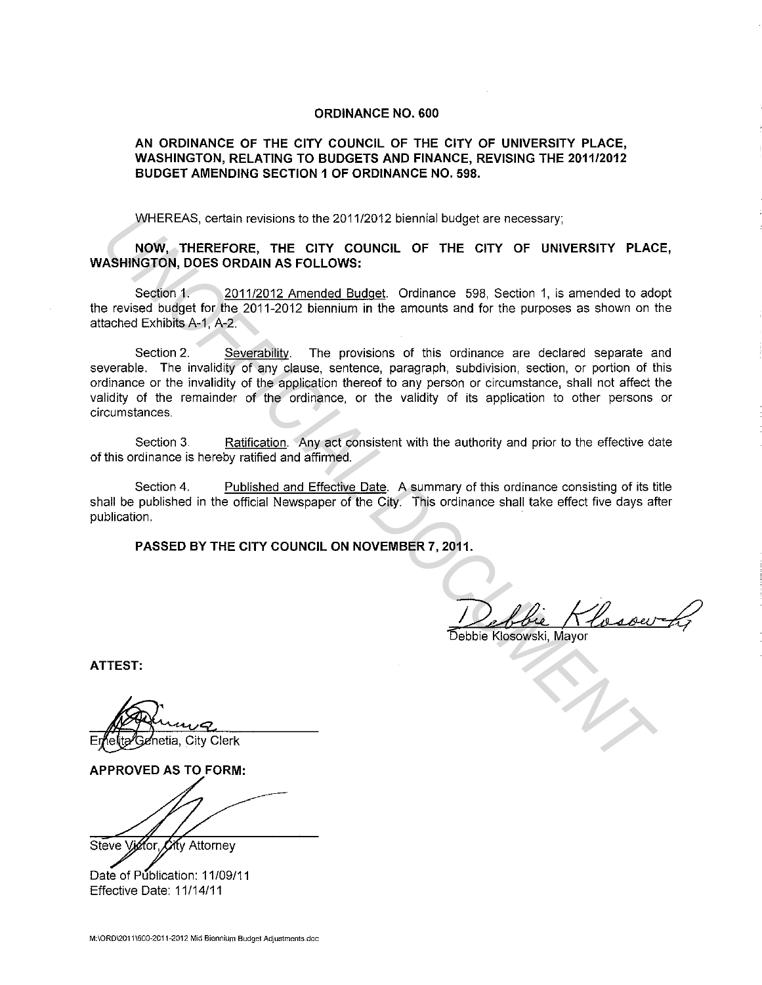## **ORDINANCE NO. 600**

## **AN ORDINANCE OF THE CITY COUNCIL OF THE CITY OF UNIVERSITY PLACE, WASHINGTON, RELATING TO BUDGETS AND FINANCE, REVISING THE 2011/2012 BUDGET AMENDING SECTION 1 OF ORDINANCE NO. 598.**

WHEREAS, certain revisions to the 2011/2012 biennial budget are necessary;

**NOW, THEREFORE, THE CITY COUNCIL OF THE CITY OF UNIVERSITY PLACE, WASHINGTON, DOES ORDAIN AS FOLLOWS:** 

Section 1. 2011/2012 Amended Budget. Ordinance 598, Section 1, is amended to adopt the revised budget for the 2011-2012 biennium in the amounts and for the purposes as shown on the attached Exhibits A-1, A-2.

Section 2. Severability. The provisions of this ordinance are declared separate and severable. The invalidity of any clause, sentence, paragraph, subdivision, section, or portion of this ordinance or the invalidity of the application thereof to any person or circumstance, shall not affect the validity of the remainder of the ordinance, or the validity of its application to other persons or circumstances. WHEREAS, certain revisions to the 2011/2012 biennial budget are necessary;<br> **NOW, THEREPORE, THE CITY OF UNIVERSITY PLAC**<br> **NOW, THEREPORE, THE CITY OF UNIVERSITY PLAC**<br>
Section 1.<br>
Section 1.<br>
Section 1.<br>
Section 2.<br>
Sect

Section 3. Ratification. Any act consistent with the authority and prior to the effective date of this ordinance is hereby ratified and affirmed.

Section 4. Published and Effective Date. A summary of this ordinance consisting of its title shall be published in the official Newspaper of the City. This ordinance shall take effect five days after publication.

**PASSED BY THE CITY COUNCIL ON NOVEMBER 7, 2011.** 

Debbie Klosowski, Mayor

**ATTEST:** 

**APPROVED AS TO FORM:** 

Steve Vigtor City Attorney

Date of Publication: 11/09/11

Effective Date: 11/14/11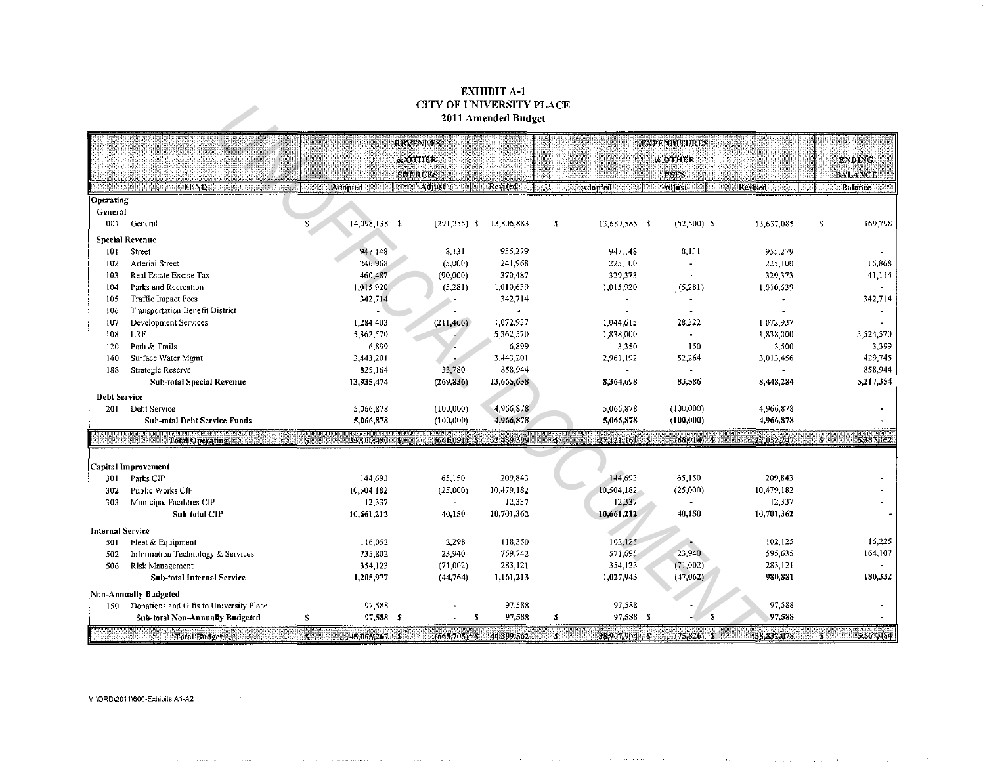## EXHIBIT A-1 CITY OF UNIVERSITY PLACE 2011 Amended Budget

|                     |                                                                                                                                                                                                                                                    |                                          |                        | 2011 Amended Budget   |                                 |                |                          |                        |                    |
|---------------------|----------------------------------------------------------------------------------------------------------------------------------------------------------------------------------------------------------------------------------------------------|------------------------------------------|------------------------|-----------------------|---------------------------------|----------------|--------------------------|------------------------|--------------------|
|                     |                                                                                                                                                                                                                                                    |                                          | REVENUES               |                       |                                 |                |                          |                        |                    |
|                     |                                                                                                                                                                                                                                                    |                                          |                        |                       |                                 | <b>ENDING:</b> |                          |                        |                    |
|                     |                                                                                                                                                                                                                                                    |                                          | <b>SOURCES</b>         |                       |                                 |                | <b>USES</b>              |                        | <b>BALANCE</b>     |
|                     | <b>EUND COMMUNIST REPORTS</b>                                                                                                                                                                                                                      | <b>Reference and Contract interest</b>   | <b>Real Adjustment</b> | Revised               | <b>Adopted Manufacturer</b>     |                | Adjust <b>Experience</b> | <b>Revised Figures</b> | <b>Balance</b>     |
| Operating           |                                                                                                                                                                                                                                                    |                                          |                        |                       |                                 |                |                          |                        |                    |
| General             |                                                                                                                                                                                                                                                    |                                          |                        |                       |                                 |                |                          |                        |                    |
| 001                 | General                                                                                                                                                                                                                                            | $\overline{\mathbf{s}}$<br>14.098.138 \$ | $(291, 255)$ \$        | 13,806,883            | \$<br>13,689,585 \$             |                | $(52,500)$ \$            | 13,637,085             | 169,798<br>s       |
|                     | <b>Special Revenue</b>                                                                                                                                                                                                                             |                                          |                        |                       |                                 |                |                          |                        |                    |
| 101                 | Street                                                                                                                                                                                                                                             | 947,148                                  | 8,131                  | 955,279               | 947.148                         |                | 8,131                    | 955,279                |                    |
| 102                 | Arterial Street                                                                                                                                                                                                                                    | 246,968                                  | (5,000)                | 241,968               | 225,100                         |                | $\overline{a}$           | 225,100                | 16,868             |
| 103                 | Real Estate Excise Tax                                                                                                                                                                                                                             | 460,487                                  | (90,000)               | 370,487               | 329,373                         |                | $\ddot{\phantom{1}}$     | 329,373                | 41,114             |
| 104                 | Parks and Recreation                                                                                                                                                                                                                               | 1,015,920                                | (5,281)                | 1,010,639             | 1,015,920                       |                | (5,281)                  | 1,010,639              |                    |
| 105                 | Traffic Impact Fees                                                                                                                                                                                                                                | 342,714                                  |                        | 342,714               |                                 | $\blacksquare$ |                          |                        | 342,714            |
| 106                 | Transportation Benefit District                                                                                                                                                                                                                    |                                          |                        | $\ddot{\phantom{a}}$  |                                 |                |                          |                        |                    |
| 107                 | Development Services<br>LRF                                                                                                                                                                                                                        | 1,284,403                                | (211, 466)             | 1,072,937             | 1,044,615                       |                | 28,322                   | 1,072,937              |                    |
| 108<br>120          | Path & Trails                                                                                                                                                                                                                                      | 5,362,570<br>6,899                       |                        | 5,362,570<br>6,899    | 1,838,000                       | 3,350          | 150                      | 1,838,000<br>3,500     | 3,524,570<br>3,399 |
| 140                 | Surface Water Mgmt                                                                                                                                                                                                                                 | 3,443.201                                |                        | 3,443,201             | 2,961,192                       |                | 52,264                   | 3,013,456              | 429,745            |
| 188                 | Strategic Reserve                                                                                                                                                                                                                                  | 825.164                                  | 33,780                 | 858,944               |                                 |                |                          |                        | 858,944            |
|                     | Sub-total Special Revenue                                                                                                                                                                                                                          | 13,935.474                               | (269, 836)             | 13,665,638            | 8,364,698                       |                | 83,586                   | 8,448,284              | 5,217,354          |
| <b>Debt Service</b> |                                                                                                                                                                                                                                                    |                                          |                        |                       |                                 |                |                          |                        |                    |
| 201                 | Debt Service                                                                                                                                                                                                                                       | 5,066,878                                | (100,000)              | 4,966,878             | 5,066,878                       |                | (100, 000)               | 4,966,878              |                    |
|                     | <b>Sub-total Debt Service Funds</b>                                                                                                                                                                                                                | 5,066,878                                | (100, 000)             | 4,966,878             | 5,066,878                       |                | (100, 000)               | 4,966,878              |                    |
|                     |                                                                                                                                                                                                                                                    |                                          |                        |                       |                                 |                |                          |                        |                    |
|                     | nggunung di panggunung di panggunung di panggunung di panggunung di panggunung di panggunung di panggunung di<br>Panggunung di panggunung di panggunung di panggunung di panggunung di panggunung di panggunung di panggunung d<br>Total Operating | 33,100,490 \$                            | $(661.091)$ \$         | 32,439,399            | $\mathbf{r}$<br>$27,121,161$ \$ |                | $(68,914)$ S             | 27,052,247             | W<br>5,387,152     |
|                     | Capital Improvement                                                                                                                                                                                                                                |                                          |                        |                       |                                 |                |                          |                        |                    |
| 301                 | Parks CIP                                                                                                                                                                                                                                          | 144,693                                  | 65,150                 | 209,843               | 144,693                         |                | 65,150                   | 209,843                |                    |
| 302                 | Public Works CIP                                                                                                                                                                                                                                   | 10,504,182                               | (25,000)               | 10,479,182            | 10,504,182                      |                | (25,000)                 | 10,479,182             |                    |
| 303                 | Municipal Facilities CIP                                                                                                                                                                                                                           | 12.337                                   |                        | 12,337                | 12,337                          |                |                          | 12,337                 |                    |
|                     | Sub-total CIP                                                                                                                                                                                                                                      | 10,661.212                               | 40,150                 | 10.701,362            | 10,661.212                      |                | 40,150                   | 10,701,362             |                    |
| Internal Service    |                                                                                                                                                                                                                                                    |                                          |                        |                       |                                 |                |                          |                        |                    |
| 501                 | Fleet & Equipment                                                                                                                                                                                                                                  | 116,052                                  | 2,298                  | 118,350               | 102,125                         |                |                          | 102,125                | 16,225             |
| 502                 | Information Technology & Services                                                                                                                                                                                                                  | 735.802                                  | 23,940                 | 759,742               | 571.695                         |                | 23,940                   | 595,635                | 164,107            |
| 506                 | Risk Management                                                                                                                                                                                                                                    | 354 123                                  | (71,002)               | 283,121               | 354,123                         |                | (71,002)                 | 283,121                |                    |
|                     | <b>Sub-total Internal Service</b>                                                                                                                                                                                                                  | 1,205.977                                | (44,764)               | 1,161,213             | 1,027,943                       |                | (47,062)                 | 980,881                | 180,332            |
|                     | Non-Annually Budgeted                                                                                                                                                                                                                              |                                          |                        |                       |                                 |                |                          |                        |                    |
|                     | 150 Donations and Gifts to University Place                                                                                                                                                                                                        | 97.588                                   |                        | 97.588                | 97.588                          |                |                          | 97,588                 |                    |
|                     | <b>Sub-total Non-Annually Budgeted</b>                                                                                                                                                                                                             | 97,588 \$<br>s                           |                        | 97,588<br>$\mathbb S$ | ${\bf S}$                       | 97,588 S       | $\mathbf{s}$             | 97.588                 |                    |
|                     | <b>Total Budget</b>                                                                                                                                                                                                                                | 45,065,267 \$<br>ente<br>Suo             |                        | 44,399,562            |                                 |                | $(75, 826)$ S            |                        | Ŧ<br>5,567,484     |

 $\sim$  100  $\mu$ 

state and state and

 $\sim$   $\sim$ 

. . . . .